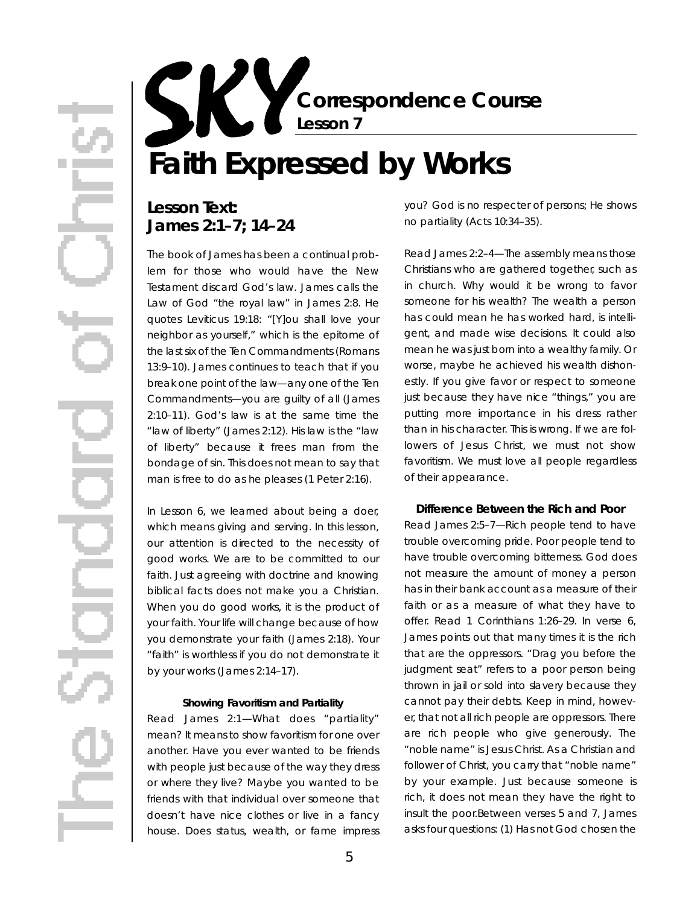**Correspondence Course Lesson 7**

# **Faith Expressed by Works**

### Lesson Text: **James 2:1–7; 14–24**

The book of James has been a continual problem for those who would have the New Testament discard God's law. James calls the Law of God "the royal law" in James 2:8. He quotes Leviticus 19:18: "[Y]ou shall love your neighbor as yourself," which is the epitome of the last six of the Ten Commandments (Romans 13:9–10). James continues to teach that if you break one point of the law-any one of the Ten Commandments—you are guilty of all (James 2:10–11). God's law is at the same time the "law of liberty" (James 2:12). His law is the "law of liberty" because it frees man from the bondage of sin. This does not mean to say that man is free to do as he pleases (1 Peter 2:16).

In Lesson 6, we learned about being a doer, which means giving and serving. In this lesson, our attention is directed to the necessity of good works. We are to be committed to our faith. Just agreeing with doctrine and knowing biblical facts does not make you a Christian. When you do good works, it is the product of your faith. Your life will change because of how you demonstrate your faith (James 2:18). Your "faith" is worthless if you do not demonstrate it by your works (James 2:14–17).

#### **Showing Favoritism and Partiality**

*Read James 2:1*—What does "partiality" mean? It means to show favoritism for one over another. Have you ever wanted to be friends with people just because of the way they dress or where they live? Maybe you wanted to be friends with that individual over someone that doesn't have nice clothes or live in a fancy house. Does status, wealth, or fame impress

you? God is no respecter of persons; He shows no partiality (Acts 10:34–35).

*Read James 2:2–4*—The assembly means those Christians who are gathered together, such as in church. Why would it be wrong to favor someone for his wealth? The wealth a person has could mean he has worked hard, is intelligent, and made wise decisions. It could also mean he was just born into a wealthy family. Or worse, maybe he achieved his wealth dishonestly. If you give favor or respect to someone just because they have nice "things," you are putting more importance in his dress rather than in his character. This is wrong. If we are followers of Jesus Christ, we must not show favoritism. We must love all people regardless of their appearance.

#### **Difference Between the Rich and Poor**

*Read James 2:5–7*—Rich people tend to have trouble overcoming pride. Poor people tend to have trouble overcoming bitterness. God does not measure the amount of money a person has in their bank account as a measure of their faith or as a measure of what they have to offer. Read 1 Corinthians 1:26-29. In verse 6, James points out that many times it is the rich that are the oppressors. "Drag you before the judgment seat" refers to a poor person being thrown in jail or sold into slavery because they cannot pay their debts. Keep in mind, however, that not all rich people are oppressors. There are rich people who give generously. The "noble name" is Jesus Christ. As a Christian and follower of Christ, you carry that "noble name" by your example. Just because someone is rich, it does not mean they have the right to insult the poor.Between verses 5 and 7, James asks four questions: (1) Has not God chosen the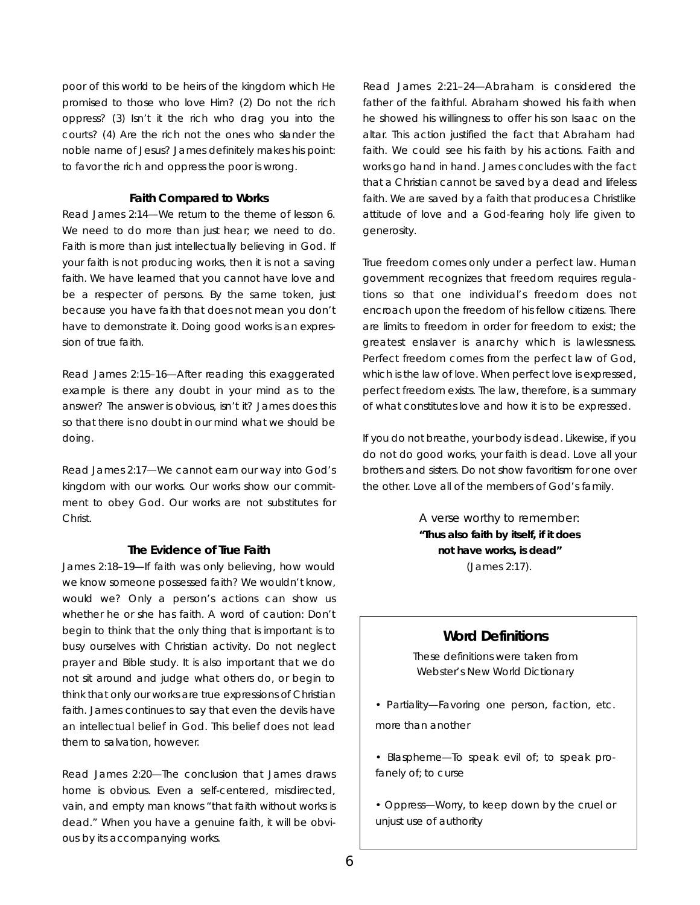poor of this world to be heirs of the kingdom which He promised to those who love Him? (2) Do not the rich oppress? (3) Isn't it the rich who drag you into the courts? (4) Are the rich not the ones who slander the noble name of Jesus? James definitely makes his point: to favor the rich and oppress the poor is wrong.

#### **Faith Compared to Works**

*Read James 2:14*—We return to the theme of lesson 6. We need to do more than just hear; we need to do. Faith is more than just intellectually believing in God. If your faith is not producing works, then it is not a saving faith. We have learned that you cannot have love and be a respecter of persons. By the same token, just because you have faith that does not mean you don't have to demonstrate it. Doing good works is an expression of true faith.

*Read James 2:15–16*—After reading this exaggerated example is there any doubt in your mind as to the answer? The answer is obvious, isn't it? James does this so that there is no doubt in our mind what we should be doing.

*Read James 2:17*— We cannot earn our way into God's kingdom with our works. Our works show our commitment to obey God. Our works are not substitutes for Christ.

#### **The Evidence of True Faith**

*James 2:18–19*—If faith was only believing, how would we know someone possessed faith? We wouldn't know, would we? Only a person's actions can show us whether he or she has faith. A word of caution: Don't begin to think that the only thing that is important is to busy ourselves with Christian activity. Do not neglect prayer and Bible study. It is also important that we do not sit around and judge what others do, or begin to think that only our works are true expressions of Christian faith. James continues to say that even the devils have an intellectual belief in God. This belief does not lead them to salvation, however.

*Read James 2:20*—The conclusion that James draws home is obvious. Even a self-centered, misdirected, vain, and empty man knows "that faith without works is dead." When you have a genuine faith, it will be obvious by its accompanying works.

*Read James 2:21–24*—Abraham is considered the father of the faithful. Abraham showed his faith when he showed his willingness to offer his son Isaac on the altar. This action justified the fact that Abraham had faith. We could see his faith by his actions. Faith and works go hand in hand. James concludes with the fact that a Christian cannot be saved by a dead and lifeless faith. We are saved by a faith that produces a Christlike attitude of love and a God-fearing holy life given to generosity.

True freedom comes only under a perfect law. Human government recognizes that freedom requires regulations so that one individual's freedom does not encroach upon the freedom of his fellow citizens. There are limits to freedom in order for freedom to exist; the greatest enslaver is anarchy which is lawlessness. Perfect freedom comes from the perfect law of God, which is the law of love. When perfect love is expressed, perfect freedom exists. The law, therefore, is a summary of what constitutes love and how it is to be expressed.

If you do not breathe, your body is dead. Likewise, if you do not do good works, your faith is dead. Love all your brothers and sisters. Do not show favoritism for one over the other. Love all of the members of God's family.

> A verse worthy to remember: **"Thus also faith by itself, if it does not have works, is dead"**  (James 2:17).

#### **Word Definitions**

These definitions were taken from *Webster's New World Dictionary*

*• Partiality*—Favoring one person, faction, etc. more than another

*• Blaspheme*— To speak evil of; to speak profanely of; to curse

• Oppress-Worry, to keep down by the cruel or unjust use of authority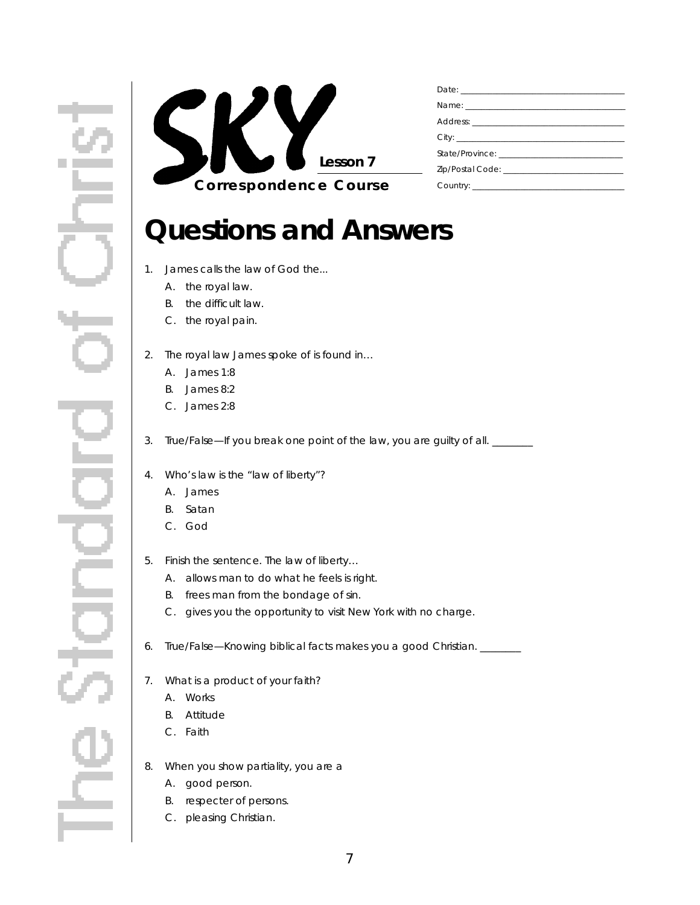

## **Questions and Answers**

- 1. James calls the law of God the...
	- A. the royal law.
	- B. the difficult law.
	- C. the royal pain.
- 2. The royal law James spoke of is found in...
	- A. James 1:8
	- B. James 8:2
	- C. James 2:8
- 3. True/False—If you break one point of the law, you are guilty of all. \_\_\_\_\_\_
- 4. Who's law is the "law of liberty"?
	- A. James
	- B. Satan
	- C. God
- 5. Finish the sentence. The law of liberty…
	- A. allows man to do what he feels is right.
	- B. frees man from the bondage of sin.
	- C. gives you the opportunity to visit New York with no charge.
- 6 . True/False—Knowing biblical facts makes you a good Christian. \_\_\_\_\_\_\_\_
- 7. What is a product of your faith?
	- A. Works
	- B. Attitude
	- C. Faith
- 8. When you show partiality, you are a
	- A. good person.
	- B. respecter of persons.
	- C. pleasing Christian.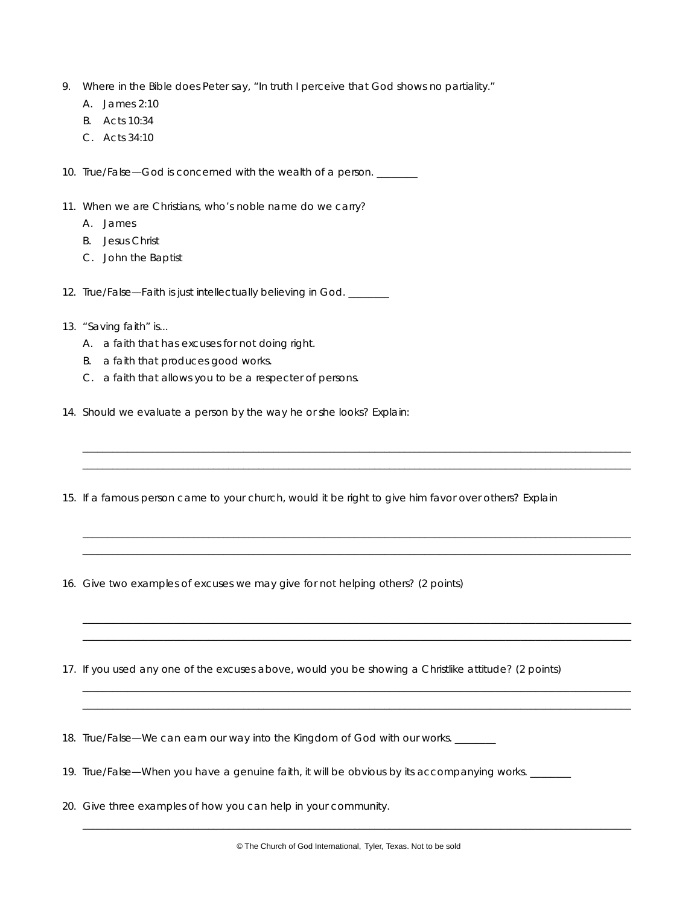- 9. Where in the Bible does Peter say, "In truth I perceive that God shows no partiality."
	- A. James 2:10
	- B. Acts 10:34
	- C. Acts 34:10

10. True/False—God is concerned with the wealth of a person.

- 11. When we are Christians, who's noble name do we carry?
	- A. James
	- B. Jesus Christ
	- C. John the Baptist
- 12. True/False—Faith is just intellectually believing in God.
- 13. "Saving faith" is...
	- A. a faith that has excuses for not doing right.
	- B. a faith that produces good works.
	- C. a faith that allows you to be a respecter of persons.
- 14. Should we evaluate a person by the way he or she looks? Explain:
- 15. If a famous person came to your church, would it be right to give him favor over others? Explain

\_ \_ \_ \_ \_ \_ \_ \_ \_ \_ \_ \_ \_ \_ \_ \_ \_ \_ \_ \_ \_ \_ \_ \_ \_ \_ \_ \_ \_ \_ \_ \_ \_ \_ \_ \_ \_ \_ \_ \_ \_ \_ \_ \_ \_ \_ \_ \_ \_ \_ \_ \_ \_ \_ \_ \_ \_ \_ \_ \_ \_ \_ \_ \_ \_ \_ \_ \_ \_ \_ \_ \_ \_ \_ \_ \_ \_ \_ \_ \_ \_ \_ \_ \_ \_ \_ \_ \_ \_ \_ \_ \_ \_ \_ \_ \_ \_ \_ \_ \_ \_ \_ \_ \_ \_ \_ \_ \_ \_ \_ \_ \_ \_ \_ \_ \_ \_ \_ \_ \_ \_ \_ \_ \_ \_ \_ \_ \_ \_ \_ \_ \_ \_ \_ \_ \_ \_ \_ \_ \_ \_ \_ \_ \_ \_ \_ \_ \_ \_ \_ \_ \_ \_ \_ \_ \_ \_ \_ \_ \_ \_ \_ \_ \_ \_ \_ \_ \_ \_ \_ \_ \_ \_ \_ \_ \_ \_ \_ \_ \_ \_ \_ \_ \_ \_ \_ \_ \_ \_ \_ \_ \_ \_ \_ \_ \_ \_ \_ \_ \_ \_ \_ \_ \_ \_ \_ \_ \_ \_ \_ \_ \_ \_ \_ \_ \_ \_ \_

\_ \_ \_ \_ \_ \_ \_ \_ \_ \_ \_ \_ \_ \_ \_ \_ \_ \_ \_ \_ \_ \_ \_ \_ \_ \_ \_ \_ \_ \_ \_ \_ \_ \_ \_ \_ \_ \_ \_ \_ \_ \_ \_ \_ \_ \_ \_ \_ \_ \_ \_ \_ \_ \_ \_ \_ \_ \_ \_ \_ \_ \_ \_ \_ \_ \_ \_ \_ \_ \_ \_ \_ \_ \_ \_ \_ \_ \_ \_ \_ \_ \_ \_ \_ \_ \_ \_ \_ \_ \_ \_ \_ \_ \_ \_ \_ \_ \_ \_ \_ \_ \_ \_ \_ \_ \_ \_ \_ \_ \_ \_ \_ \_ \_ \_ \_ \_ \_ \_ \_ \_ \_ \_ \_ \_ \_ \_ \_ \_ \_ \_ \_ \_ \_ \_ \_ \_ \_ \_ \_ \_ \_ \_ \_ \_ \_ \_ \_ \_ \_ \_ \_ \_ \_ \_ \_ \_ \_ \_ \_ \_ \_ \_ \_ \_ \_ \_ \_ \_ \_ \_ \_ \_ \_ \_ \_ \_ \_ \_ \_ \_ \_ \_ \_ \_ \_ \_ \_ \_ \_ \_ \_ \_ \_ \_ \_ \_ \_ \_ \_ \_ \_ \_ \_ \_ \_ \_ \_ \_ \_ \_ \_ \_ \_ \_ \_ \_ \_

 $\Box$ \_ \_ \_ \_ \_ \_ \_ \_ \_ \_ \_ \_ \_ \_ \_ \_ \_ \_ \_ \_ \_ \_ \_ \_ \_ \_ \_ \_ \_ \_ \_ \_ \_ \_ \_ \_ \_ \_ \_ \_ \_ \_ \_ \_ \_ \_ \_ \_ \_ \_ \_ \_ \_ \_ \_ \_ \_ \_ \_ \_ \_ \_ \_ \_ \_ \_ \_ \_ \_ \_ \_ \_ \_ \_ \_ \_ \_ \_ \_ \_ \_ \_ \_ \_ \_ \_ \_ \_ \_ \_ \_ \_ \_ \_ \_ \_ \_ \_ \_ \_ \_ \_ \_ \_ \_ \_ \_ \_ \_

\_ \_ \_ \_ \_ \_ \_ \_ \_ \_ \_ \_ \_ \_ \_ \_ \_ \_ \_ \_ \_ \_ \_ \_ \_ \_ \_ \_ \_ \_ \_ \_ \_ \_ \_ \_ \_ \_ \_ \_ \_ \_ \_ \_ \_ \_ \_ \_ \_ \_ \_ \_ \_ \_ \_ \_ \_ \_ \_ \_ \_ \_ \_ \_ \_ \_ \_ \_ \_ \_ \_ \_ \_ \_ \_ \_ \_ \_ \_ \_ \_ \_ \_ \_ \_ \_ \_ \_ \_ \_ \_ \_ \_ \_ \_ \_ \_ \_ \_ \_ \_ \_ \_ \_ \_ \_ \_ \_ \_  $\qquad \qquad \qquad \qquad -1 \qquad \qquad -1 \qquad \qquad -1 \qquad \qquad -1 \qquad \qquad -1 \qquad \qquad -1 \qquad \qquad -1 \qquad \qquad -1 \qquad \qquad -1 \qquad \qquad -1 \qquad \qquad -1 \qquad \qquad -1 \qquad \qquad -1 \qquad \qquad -1 \qquad \qquad -1 \qquad \qquad -1 \qquad \qquad -1 \qquad \qquad -1 \qquad \qquad -1 \qquad \qquad -1 \qquad \qquad -1 \qquad \qquad -1 \qquad \qquad -1 \qquad \qquad -1 \qquad \qquad -1 \qquad \qquad -1 \qquad \qquad$ 

- 16. Give two examples of excuses we may give for not helping others? (2 points)
- 17. If you used any one of the excuses above, would you be showing a Christlike attitude? (2 points)

18. True/False—We can earn our way into the Kingdom of God with our works. \_\_\_\_\_\_

- 19. True/False—When you have a genuine faith, it will be obvious by its accompanying works. \_\_\_\_\_\_\_
- 20. Give three examples of how you can help in your community.

 $\Box$